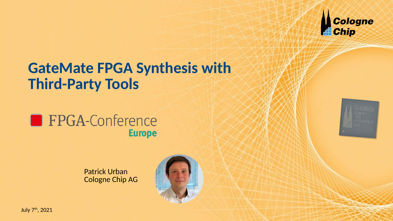

# **GateMate FPGA Synthesis with Third-Party Tools**





Patrick Urban Cologne Chip AG



July 7<sup>th</sup>, 2021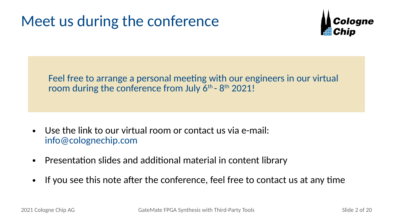# Meet us during the conference



Feel free to arrange a personal meeting with our engineers in our virtual room during the conference from July  $6<sup>th</sup>$  -  $8<sup>th</sup>$  2021!

- Use the link to our virtual room or contact us via e-mail: [info@colognechip.com](mailto:info@colognechip.com)
- Presentation slides and additional material in content library
- If you see this note after the conference, feel free to contact us at any time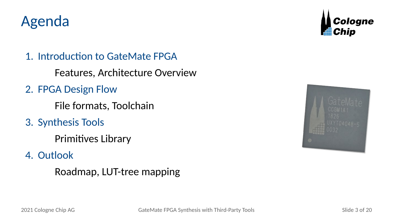# Agenda



1. Introduction to GateMate FPGA

Features, Architecture Overview

2. FPGA Design Flow

File formats, Toolchain

3. Synthesis Tools

Primitives Library

4. Outlook

Roadmap, LUT-tree mapping

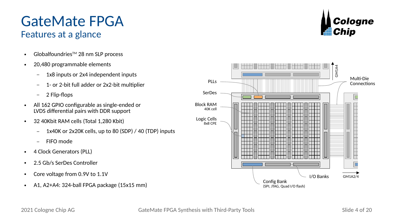

# Features at a glance

• Globalfoundries<sup>™</sup> 28 nm SLP process

GateMate FPGA

- 20,480 programmable elements
	- 1x8 inputs or 2x4 independent inputs
	- 1- or 2-bit full adder or 2x2-bit multiplier
	- 2 Flip-flops
- All 162 GPIO configurable as single-ended or LVDS differential pairs with DDR support
- 32 40Kbit RAM cells (Total 1,280 Kbit)
	- 1x40K or 2x20K cells, up to 80 (SDP) / 40 (TDP) inputs
	- FIFO mode
- 4 Clock Generators (PLL)
- 2.5 Gb/s SerDes Controller
- Core voltage from 0.9V to 1.1V
- $\bullet$  A1, A2+A4: 324-ball FPGA package (15x15 mm)

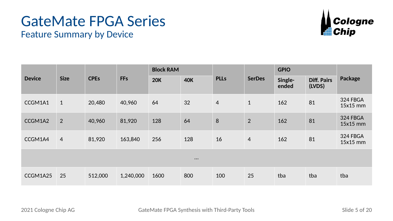# GateMate FPGA Series



| <b>Feature Summary by Device</b> |  |  |
|----------------------------------|--|--|
|----------------------------------|--|--|

| <b>Device</b>           | <b>Size</b>    | <b>CPEs</b> | <b>FFs</b> | <b>Block RAM</b> |            |                |                | <b>GPIO</b>      |                              |                      |  |  |
|-------------------------|----------------|-------------|------------|------------------|------------|----------------|----------------|------------------|------------------------------|----------------------|--|--|
|                         |                |             |            | <b>20K</b>       | <b>40K</b> | <b>PLLs</b>    | <b>SerDes</b>  | Single-<br>ended | <b>Diff. Pairs</b><br>(LVDS) | Package              |  |  |
| CCGM1A1                 | $\mathbf{1}$   | 20,480      | 40,960     | 64               | 32         | $\overline{4}$ | $\mathbf{1}$   | 162              | 81                           | 324 FBGA<br>15x15 mm |  |  |
| CCGM1A2                 | $\overline{2}$ | 40,960      | 81,920     | 128              | 64         | 8              | 2              | 162              | 81                           | 324 FBGA<br>15x15 mm |  |  |
| CCGM1A4                 | $\overline{4}$ | 81,920      | 163,840    | 256              | 128        | 16             | $\overline{4}$ | 162              | 81                           | 324 FBGA<br>15x15 mm |  |  |
| $\bullet\bullet\bullet$ |                |             |            |                  |            |                |                |                  |                              |                      |  |  |
| CCGM1A25                | 25             | 512,000     | 1,240,000  | 1600             | 800        | 100            | 25             | tba              | tba                          | tba                  |  |  |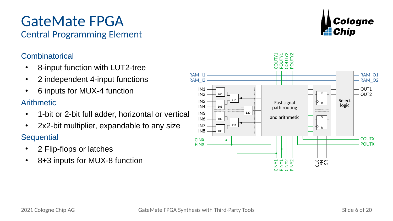# GateMate FPGA

## Central Programming Element

### Combinatorical

- 8-input function with LUT2-tree
- 2 independent 4-input functions
- 6 inputs for MUX-4 function

### Arithmetic

- 1-bit or 2-bit full adder, horizontal or vertical
- $\cdot$  2x2-bit multiplier, expandable to any size **Sequential** 
	- 2 Flip-flops or latches
	- 8+3 inputs for MUX-8 function



Cologne

**Elli** Chip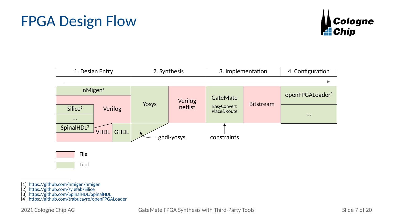# FPGA Design Flow





[1] <https://github.com/nmigen/nmigen>

- [2] <https://github.com/sylefeb/Silice>
- [3] <https://github.com/SpinalHDL/SpinalHDL>
- [4] <https://github.com/trabucayre/openFPGALoader>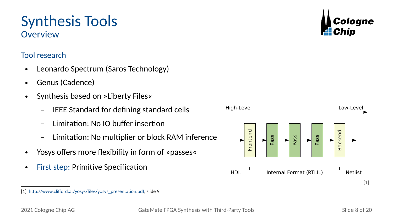### [1] [http://www.clifford.at/yosys/files/yosys\\_presentation.pdf,](http://www.clifford.at/yosys/files/yosys_presentation.pdf) slide 9

• First step: Primitive Specification

- Yosys offers more flexibility in form of »passes«
- 
- Limitation: No IO buffer insertion – Limitation: No multiplier or block RAM inference
- 
- Genus (Cadence)

Synthesis Tools

**Overview** 

Tool research

- 
- 
- Synthesis based on »Liberty Files«

• Leonardo Spectrum (Saros Technology)

- IEEE Standard for defining standard cells
- 





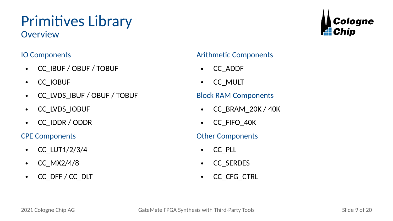# Primitives Library

**Overview** 

### IO Components

- CC\_IBUF / OBUF / TOBUF
- CC\_IOBUF
- CC\_LVDS\_IBUF / OBUF / TOBUF
- CC\_LVDS\_IOBUF
- CC\_IDDR / ODDR

### CPE Components

- CC  $LUT1/2/3/4$
- $\bullet$  CC MX2/4/8
- CC\_DFF / CC\_DLT

### Arithmetic Components

- CC\_ADDF
- CC\_MULT

### Block RAM Components

- CC\_BRAM\_20K / 40K
- CC\_FIFO\_40K

### Other Components

- CC\_PLL
- CC\_SERDES
- CC\_CFG\_CTRL

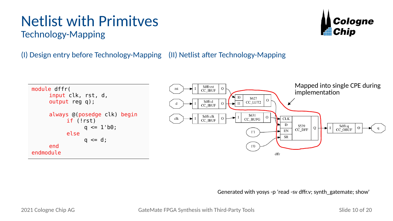# Netlist with Primitves

Cologne l:ii Chip

Technology-Mapping

(I) Design entry before Technology-Mapping (II) Netlist after Technology-Mapping



Generated with yosys -p 'read -sv dffr.v; synth\_gatemate; show'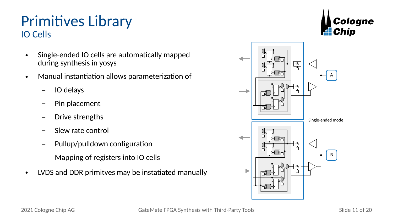# Primitives Library IO Cells

- Single-ended IO cells are automatically mapped during synthesis in yosys
- Manual instantiation allows parameterization of
	- IO delays
	- Pin placement
	- Drive strengths
	- Slew rate control
	- Pullup/pulldown configuration
	- Mapping of registers into IO cells
- LVDS and DDR primitves may be instatiated manually



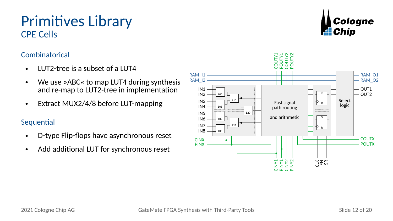# Primitives Library CPE Cells

### Combinatorical

- LUT2-tree is a subset of a LUT4
- We use »ABC« to map LUT4 during synthesis and re-map to LUT2-tree in implementation
- Extract MUX2/4/8 before LUT-mapping

### **Sequential**

- D-type Flip-flops have asynchronous reset
- Add additional LUT for synchronous reset



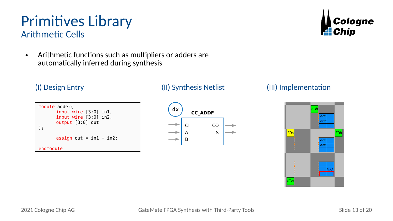## Primitives Library Arithmetic Cells

• Arithmetic functions such as multipliers or adders are automatically inferred during synthesis

### module adder( input wire [3:0] in1, input wire [3:0] in2, output [3:0] out ); assign out =  $in1 + in2$ ; endmodule



### (I) Design Entry (II) Synthesis Netlist (III) Implementation

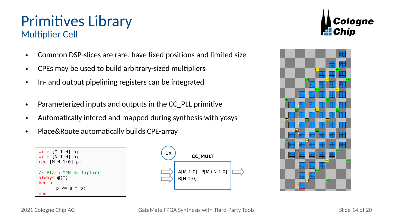## Primitives Library Multiplier Cell

- Common DSP-slices are rare, have fixed positions and limited size
- CPEs may be used to build arbitrary-sized multipliers
- In- and output pipelining registers can be integrated
- Parameterized inputs and outputs in the CC PLL primitive
- Automatically infered and mapped during synthesis with yosys
- Place&Route automatically builds CPE-array







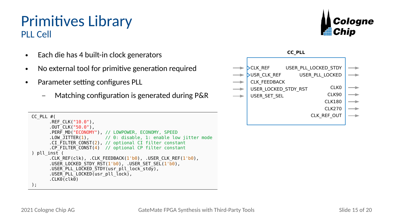# Primitives Library PLL Cell

- Each die has 4 built-in clock generators
- No external tool for primitive generation required
- Parameter setting configures PLL
	- Matching configuration is generated during P&R

```
CC_PLL #( CLK_REF_OUT
      REF CLK("10.0"),
      .0UT^-CLK( "50.0"),
      .PERF_MD("ECONOMY"), // LOWPOWER, ECONOMY, SPEED<br>.IOW JITTER(1).     // 0: disable, 1: enable low
                         1/10: disable, 1: enable low jitter mode
      .CI FILTER CONST(2), // optional CI filter constant
      .CP_FILTER_CONST(4) // optional CP filter constant
) pll_inst (
      .CLK REF(clk), .CLK FEEDBACK(1'b0), .USER CLK REF(1'b0),
      .USER LOCKED STDY RST(1'b0), .USER SET SEL(1'b0),
      .USER_PLL_LOCKED_STDY(usr_pll_lock_stdy),
      USERPLLLOCKED(usr pll \overline{lock}),
      .CLK@Cck@);
```


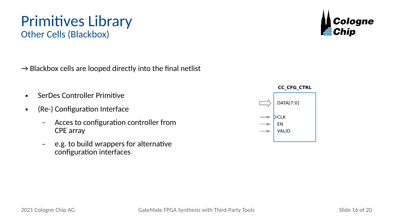# Primitives Library Other Cells (Blackbox)



- SerDes Controller Primitive
- (Re-) Configuration Interface
	- Acces to configuration controller from CPE array
	- e.g. to build wrappers for alternative configuration interfaces



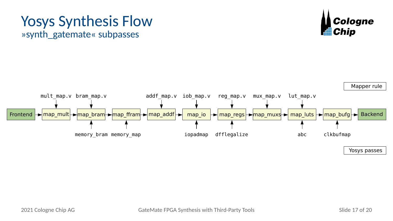## Yosys Synthesis Flow »synth\_gatemate« subpasses





Yosys passes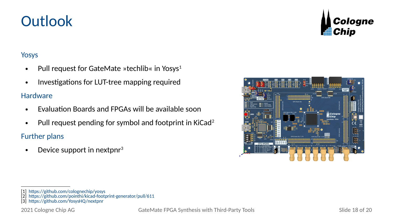**Outlook** 

- Pull request for GateMate »techlib« in Yosys<sup>1</sup>
- Investigations for LUT-tree mapping required

### **Hardware**

- Evaluation Boards and FPGAs will be available soon
- Pull request pending for symbol and footprint in KiCad<sup>2</sup>

Further plans

• Device support in nextpnr<sup>3</sup>





<sup>[1]</sup> <https://github.com/colognechip/yosys>

<sup>[2]</sup> <https://github.com/pointhi/kicad-footprint-generator/pull/611>

<sup>[3]</sup> <https://github.com/YosysHQ/nextpnr>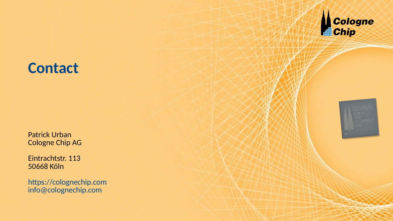

# **Contact**

Patrick Urban Cologne Chip AG

Eintrachtstr. 113 50668 Köln

[https://colognechip.com](https://colognechip.com/) [info@colognechip.com](mailto:info@colognechip.com)